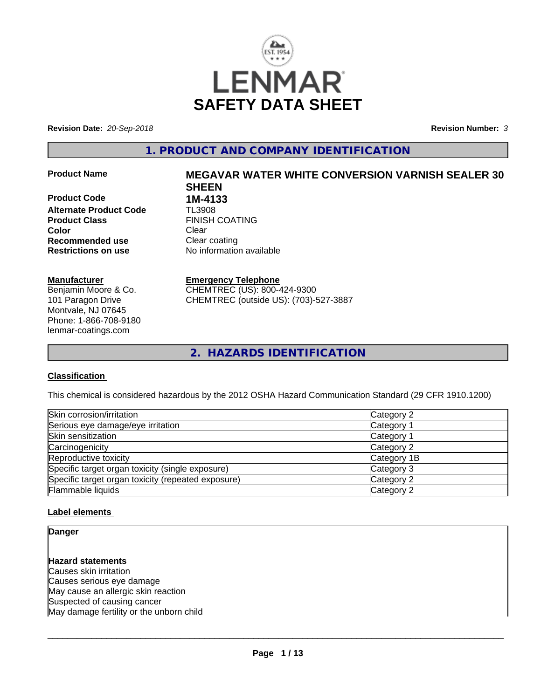

**Revision Date:** *20-Sep-2018* **Revision Number:** *3*

## **1. PRODUCT AND COMPANY IDENTIFICATION**

**Product Code 1M-4133**<br>Alternate Product Code 1L3908 **Alternate Product Code Product Class** FINISH COATING **Color** Clear Clear **Recommended use** Clear coating **Restrictions on use** No information available

#### **Manufacturer**

Benjamin Moore & Co. 101 Paragon Drive Montvale, NJ 07645 Phone: 1-866-708-9180 lenmar-coatings.com

# **Product Name MEGAVAR WATER WHITE CONVERSION VARNISH SEALER 30 SHEEN**

**Emergency Telephone** CHEMTREC (US): 800-424-9300

CHEMTREC (outside US): (703)-527-3887

**2. HAZARDS IDENTIFICATION**

## **Classification**

This chemical is considered hazardous by the 2012 OSHA Hazard Communication Standard (29 CFR 1910.1200)

| Skin corrosion/irritation                          | Category 2  |
|----------------------------------------------------|-------------|
| Serious eye damage/eye irritation                  | Category 1  |
| Skin sensitization                                 | Category 1  |
| Carcinogenicity                                    | Category 2  |
| Reproductive toxicity                              | Category 1B |
| Specific target organ toxicity (single exposure)   | Category 3  |
| Specific target organ toxicity (repeated exposure) | Category 2  |
| Flammable liquids                                  | Category 2  |

## **Label elements**

## **Danger**

## **Hazard statements**

Causes skin irritation Causes serious eye damage May cause an allergic skin reaction Suspected of causing cancer May damage fertility or the unborn child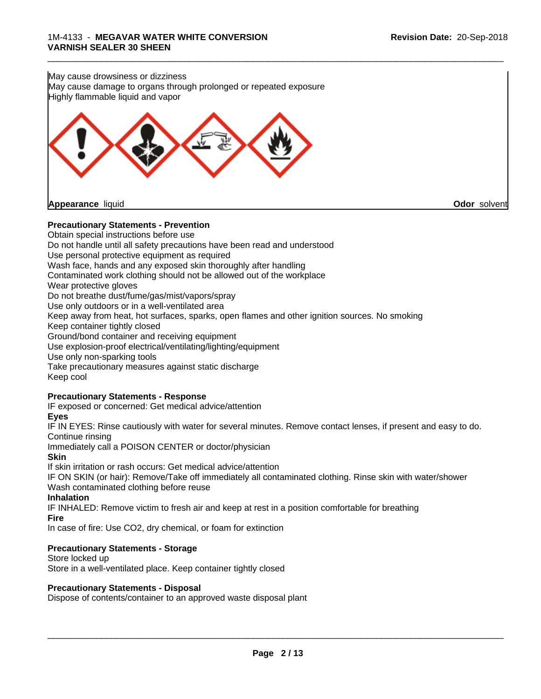

## **Precautionary Statements - Prevention**

Obtain special instructions before use Do not handle until all safety precautions have been read and understood Use personal protective equipment as required Wash face, hands and any exposed skin thoroughly after handling Contaminated work clothing should not be allowed out of the workplace Wear protective gloves Do not breathe dust/fume/gas/mist/vapors/spray Use only outdoors or in a well-ventilated area Keep away from heat, hot surfaces, sparks, open flames and other ignition sources. No smoking Keep container tightly closed Ground/bond container and receiving equipment Use explosion-proof electrical/ventilating/lighting/equipment Use only non-sparking tools Take precautionary measures against static discharge Keep cool **Precautionary Statements - Response** IF exposed or concerned: Get medical advice/attention **Eyes**

IF IN EYES: Rinse cautiously with water for several minutes. Remove contact lenses, if present and easy to do. Continue rinsing

Immediately call a POISON CENTER or doctor/physician

## **Skin**

If skin irritation or rash occurs: Get medical advice/attention

IF ON SKIN (or hair): Remove/Take off immediately all contaminated clothing. Rinse skin with water/shower Wash contaminated clothing before reuse

## **Inhalation**

IF INHALED: Remove victim to fresh air and keep atrest in a position comfortable for breathing **Fire**

In case of fire: Use CO2, dry chemical, or foam for extinction

## **Precautionary Statements - Storage**

Store locked up Store in a well-ventilated place. Keep container tightly closed

## **Precautionary Statements - Disposal**

Dispose of contents/container to an approved waste disposal plant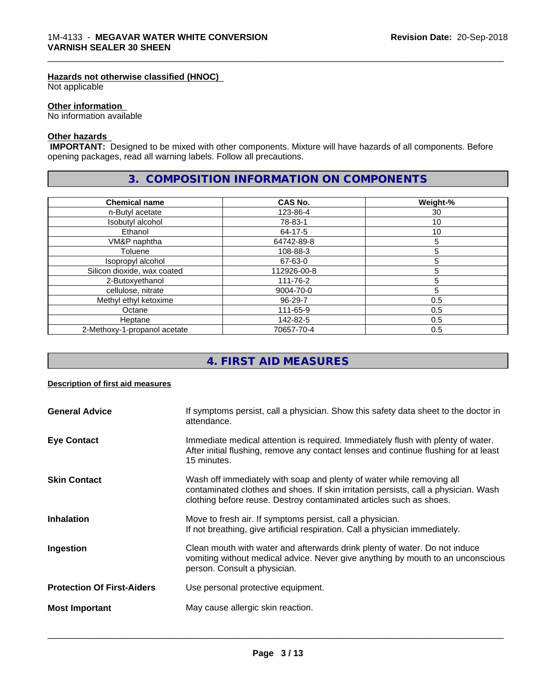#### **Hazards not otherwise classified (HNOC)**

Not applicable

## **Other information**

No information available

## **Other hazards**

 **IMPORTANT:** Designed to be mixed with other components. Mixture will have hazards of all components. Before opening packages, read all warning labels. Follow all precautions.

## **3. COMPOSITION INFORMATION ON COMPONENTS**

\_\_\_\_\_\_\_\_\_\_\_\_\_\_\_\_\_\_\_\_\_\_\_\_\_\_\_\_\_\_\_\_\_\_\_\_\_\_\_\_\_\_\_\_\_\_\_\_\_\_\_\_\_\_\_\_\_\_\_\_\_\_\_\_\_\_\_\_\_\_\_\_\_\_\_\_\_\_\_\_\_\_\_\_\_\_\_\_\_\_\_\_\_

| <b>Chemical name</b>         | CAS No.     | Weight-%        |
|------------------------------|-------------|-----------------|
| n-Butyl acetate              | 123-86-4    | 30              |
| Isobutyl alcohol             | 78-83-1     | 10 <sup>°</sup> |
| Ethanol                      | 64-17-5     | 10              |
| VM&P naphtha                 | 64742-89-8  | 5               |
| Toluene                      | 108-88-3    | 5               |
| Isopropyl alcohol            | 67-63-0     | 5               |
| Silicon dioxide, wax coated  | 112926-00-8 | 5               |
| 2-Butoxyethanol              | 111-76-2    | 5               |
| cellulose, nitrate           | 9004-70-0   | 5               |
| Methyl ethyl ketoxime        | 96-29-7     | 0.5             |
| Octane                       | 111-65-9    | 0.5             |
| Heptane                      | 142-82-5    | 0.5             |
| 2-Methoxy-1-propanol acetate | 70657-70-4  | 0.5             |

## **4. FIRST AID MEASURES**

## **Description of first aid measures**

| <b>General Advice</b>             | If symptoms persist, call a physician. Show this safety data sheet to the doctor in<br>attendance.                                                                                                                                  |
|-----------------------------------|-------------------------------------------------------------------------------------------------------------------------------------------------------------------------------------------------------------------------------------|
| <b>Eye Contact</b>                | Immediate medical attention is required. Immediately flush with plenty of water.<br>After initial flushing, remove any contact lenses and continue flushing for at least<br>15 minutes.                                             |
| <b>Skin Contact</b>               | Wash off immediately with soap and plenty of water while removing all<br>contaminated clothes and shoes. If skin irritation persists, call a physician. Wash<br>clothing before reuse. Destroy contaminated articles such as shoes. |
| <b>Inhalation</b>                 | Move to fresh air. If symptoms persist, call a physician.<br>If not breathing, give artificial respiration. Call a physician immediately.                                                                                           |
| Ingestion                         | Clean mouth with water and afterwards drink plenty of water. Do not induce<br>vomiting without medical advice. Never give anything by mouth to an unconscious<br>person. Consult a physician.                                       |
| <b>Protection Of First-Aiders</b> | Use personal protective equipment.                                                                                                                                                                                                  |
| <b>Most Important</b>             | May cause allergic skin reaction.                                                                                                                                                                                                   |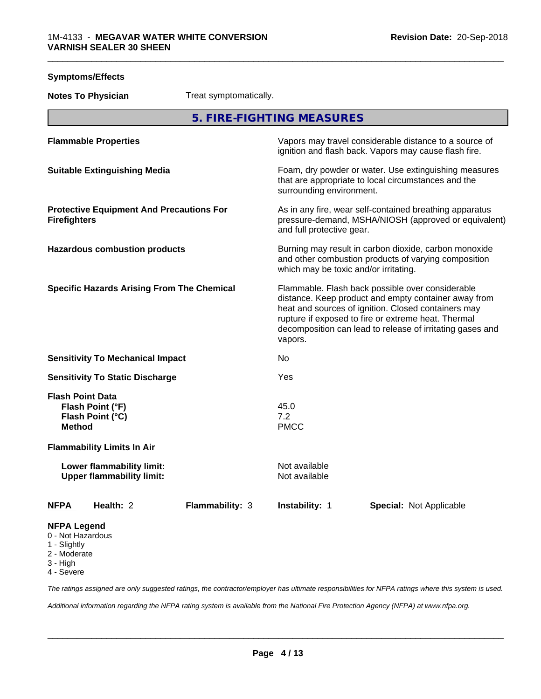| <b>Symptoms/Effects</b>                                                                                               |                        |                                       |                                                                                                                                                                                                                                                                                     |  |
|-----------------------------------------------------------------------------------------------------------------------|------------------------|---------------------------------------|-------------------------------------------------------------------------------------------------------------------------------------------------------------------------------------------------------------------------------------------------------------------------------------|--|
| <b>Notes To Physician</b>                                                                                             | Treat symptomatically. |                                       |                                                                                                                                                                                                                                                                                     |  |
|                                                                                                                       |                        | 5. FIRE-FIGHTING MEASURES             |                                                                                                                                                                                                                                                                                     |  |
| <b>Flammable Properties</b>                                                                                           |                        |                                       | Vapors may travel considerable distance to a source of<br>ignition and flash back. Vapors may cause flash fire.                                                                                                                                                                     |  |
| <b>Suitable Extinguishing Media</b>                                                                                   |                        | surrounding environment.              | Foam, dry powder or water. Use extinguishing measures<br>that are appropriate to local circumstances and the                                                                                                                                                                        |  |
| <b>Protective Equipment And Precautions For</b><br><b>Firefighters</b>                                                |                        | and full protective gear.             | As in any fire, wear self-contained breathing apparatus<br>pressure-demand, MSHA/NIOSH (approved or equivalent)                                                                                                                                                                     |  |
| <b>Hazardous combustion products</b>                                                                                  |                        | which may be toxic and/or irritating. | Burning may result in carbon dioxide, carbon monoxide<br>and other combustion products of varying composition                                                                                                                                                                       |  |
| <b>Specific Hazards Arising From The Chemical</b>                                                                     |                        | vapors.                               | Flammable. Flash back possible over considerable<br>distance. Keep product and empty container away from<br>heat and sources of ignition. Closed containers may<br>rupture if exposed to fire or extreme heat. Thermal<br>decomposition can lead to release of irritating gases and |  |
| <b>Sensitivity To Mechanical Impact</b>                                                                               |                        | No                                    |                                                                                                                                                                                                                                                                                     |  |
| <b>Sensitivity To Static Discharge</b>                                                                                |                        | Yes                                   |                                                                                                                                                                                                                                                                                     |  |
| <b>Flash Point Data</b><br>Flash Point (°F)<br>Flash Point (°C)<br><b>Method</b><br><b>Flammability Limits In Air</b> |                        | 45.0<br>7.2<br><b>PMCC</b>            |                                                                                                                                                                                                                                                                                     |  |
| <b>Lower flammability limit:</b><br><b>Upper flammability limit:</b>                                                  |                        | Not available<br>Not available        |                                                                                                                                                                                                                                                                                     |  |
| <b>NFPA</b><br>Health: 2                                                                                              | Flammability: 3        | Instability: 1                        | <b>Special: Not Applicable</b>                                                                                                                                                                                                                                                      |  |
| <b>NFPA Legend</b><br>0 - Not Hazardous<br>1 - Slightly<br>2 - Moderate<br>3 - High                                   |                        |                                       |                                                                                                                                                                                                                                                                                     |  |

4 - Severe

*The ratings assigned are only suggested ratings, the contractor/employer has ultimate responsibilities for NFPA ratings where this system is used.*

*Additional information regarding the NFPA rating system is available from the National Fire Protection Agency (NFPA) at www.nfpa.org.*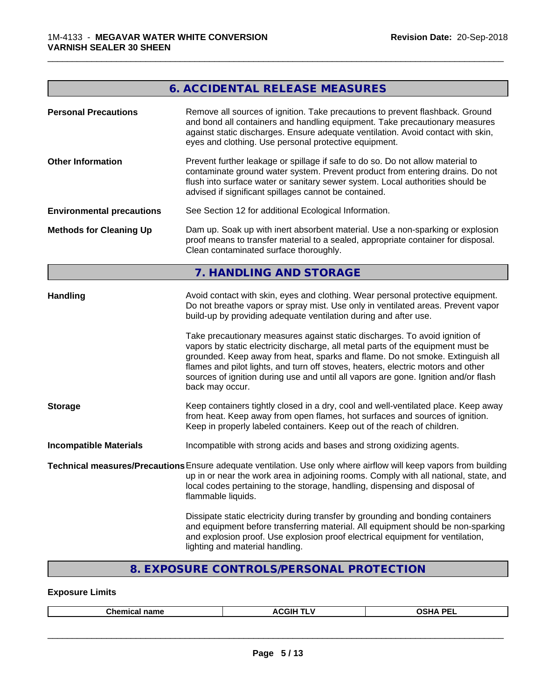## **6. ACCIDENTAL RELEASE MEASURES Personal Precautions** Remove all sources of ignition. Take precautions to prevent flashback. Ground and bond all containers and handling equipment. Take precautionary measures against static discharges. Ensure adequate ventilation. Avoid contact with skin, eyes and clothing. Use personal protective equipment. **Other Information** Prevent further leakage or spillage if safe to do so. Do not allow material to contaminate ground water system. Prevent product from entering drains. Do not flush into surface water or sanitary sewer system. Local authorities should be advised if significant spillages cannot be contained. **Environmental precautions** See Section 12 for additional Ecological Information. **Methods for Cleaning Up** Dam up. Soak up with inert absorbent material. Use a non-sparking or explosion proof means to transfer material to a sealed, appropriate container for disposal. Clean contaminated surface thoroughly.**7. HANDLING AND STORAGE** Handling **Avoid contact with skin, eyes and clothing. Wear personal protective equipment.** Do not breathe vapors or spray mist. Use only in ventilated areas. Prevent vapor build-up by providing adequate ventilation during and after use. Take precautionary measures against static discharges. To avoid ignition of vapors by static electricity discharge, all metal parts of the equipment must be grounded. Keep away from heat, sparks and flame. Do not smoke. Extinguish all flames and pilot lights, and turn off stoves, heaters, electric motors and other sources of ignition during use and until all vapors are gone. Ignition and/or flash back may occur. **Storage** Keep containers tightly closed in a dry, cool and well-ventilated place. Keep away from heat. Keep away from open flames, hot surfaces and sources of ignition. Keep in properly labeled containers. Keep out of the reach of children. **Incompatible Materials** Incompatible with strong acids and bases and strong oxidizing agents. **Technical measures/Precautions**Ensure adequate ventilation. Use only where airflow will keep vapors from building up in or near the work area in adjoining rooms. Comply with all national, state, and local codes pertaining to the storage, handling, dispensing and disposal of flammable liquids. Dissipate static electricity during transfer by grounding and bonding containers and equipment before transferring material. All equipment should be non-sparking and explosion proof. Use explosion proof electrical equipment for ventilation, lighting and material handling.

\_\_\_\_\_\_\_\_\_\_\_\_\_\_\_\_\_\_\_\_\_\_\_\_\_\_\_\_\_\_\_\_\_\_\_\_\_\_\_\_\_\_\_\_\_\_\_\_\_\_\_\_\_\_\_\_\_\_\_\_\_\_\_\_\_\_\_\_\_\_\_\_\_\_\_\_\_\_\_\_\_\_\_\_\_\_\_\_\_\_\_\_\_

## **8. EXPOSURE CONTROLS/PERSONAL PROTECTION**

## **Exposure Limits**

| ACGIH T<br><b>NUA DEL</b><br>.<br>Chemic.<br>:al name<br>- 11<br>:11116.41<br>-- |
|----------------------------------------------------------------------------------|
|----------------------------------------------------------------------------------|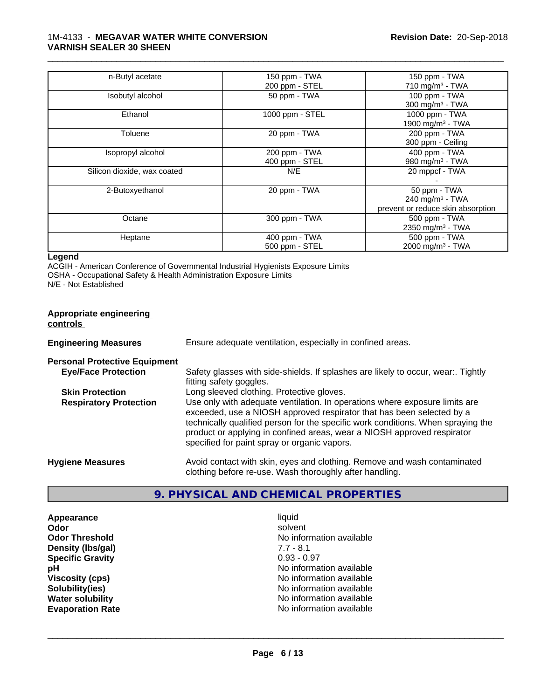| n-Butyl acetate             | 150 ppm - TWA   | 150 ppm - TWA                     |
|-----------------------------|-----------------|-----------------------------------|
|                             | 200 ppm - STEL  | 710 mg/m <sup>3</sup> - TWA       |
| Isobutyl alcohol            | 50 ppm - TWA    | 100 ppm - TWA                     |
|                             |                 | $300 \text{ mg/m}^3$ - TWA        |
| Ethanol                     | 1000 ppm - STEL | 1000 ppm - TWA                    |
|                             |                 | 1900 mg/m <sup>3</sup> - TWA      |
| Toluene                     | 20 ppm - TWA    | 200 ppm - TWA                     |
|                             |                 | 300 ppm - Ceiling                 |
| Isopropyl alcohol           | 200 ppm - TWA   | 400 ppm - TWA                     |
|                             | 400 ppm - STEL  | 980 mg/m <sup>3</sup> - TWA       |
| Silicon dioxide, wax coated | N/E             | 20 mppcf - TWA                    |
|                             |                 |                                   |
| 2-Butoxyethanol             | 20 ppm - TWA    | 50 ppm - TWA                      |
|                             |                 | 240 mg/m $3$ - TWA                |
|                             |                 | prevent or reduce skin absorption |
| Octane                      | 300 ppm - TWA   | 500 ppm - TWA                     |
|                             |                 | 2350 mg/m <sup>3</sup> - TWA      |
| Heptane                     | 400 ppm - TWA   | 500 ppm - TWA                     |
|                             | 500 ppm - STEL  | 2000 mg/m <sup>3</sup> - TWA      |

\_\_\_\_\_\_\_\_\_\_\_\_\_\_\_\_\_\_\_\_\_\_\_\_\_\_\_\_\_\_\_\_\_\_\_\_\_\_\_\_\_\_\_\_\_\_\_\_\_\_\_\_\_\_\_\_\_\_\_\_\_\_\_\_\_\_\_\_\_\_\_\_\_\_\_\_\_\_\_\_\_\_\_\_\_\_\_\_\_\_\_\_\_

## **Legend**

ACGIH - American Conference of Governmental Industrial Hygienists Exposure Limits OSHA - Occupational Safety & Health Administration Exposure Limits N/E - Not Established

| <b>Appropriate engineering</b><br>controls |                                                                                                                                                                                                                                                                                                                                                                     |
|--------------------------------------------|---------------------------------------------------------------------------------------------------------------------------------------------------------------------------------------------------------------------------------------------------------------------------------------------------------------------------------------------------------------------|
| <b>Engineering Measures</b>                | Ensure adequate ventilation, especially in confined areas.                                                                                                                                                                                                                                                                                                          |
| <b>Personal Protective Equipment</b>       |                                                                                                                                                                                                                                                                                                                                                                     |
| <b>Eye/Face Protection</b>                 | Safety glasses with side-shields. If splashes are likely to occur, wear Tightly<br>fitting safety goggles.                                                                                                                                                                                                                                                          |
| <b>Skin Protection</b>                     | Long sleeved clothing. Protective gloves.                                                                                                                                                                                                                                                                                                                           |
| <b>Respiratory Protection</b>              | Use only with adequate ventilation. In operations where exposure limits are<br>exceeded, use a NIOSH approved respirator that has been selected by a<br>technically qualified person for the specific work conditions. When spraying the<br>product or applying in confined areas, wear a NIOSH approved respirator<br>specified for paint spray or organic vapors. |
| <b>Hygiene Measures</b>                    | Avoid contact with skin, eyes and clothing. Remove and wash contaminated<br>clothing before re-use. Wash thoroughly after handling.                                                                                                                                                                                                                                 |

## **9. PHYSICAL AND CHEMICAL PROPERTIES**

**Appearance liquid and a liquid contract of the set of the set of the set of the set of the set of the set of t<br>
<b>Appearance** solver **Odor** solvent **Density (Ibs/gal)** 7.7 - 8.1<br> **Specific Gravity** 3.1 **Specific Gravity** 

**Odor Threshold No information available No information available pH** No information available **Viscosity (cps)**<br> **Viscosity (cps)**<br> **Solubility(ies)**<br> **No** information available **Solubility(ies)** No information available **Water solubility Water solubility Water solubility Water solubility No information available Evaporation Rate No information available No information available**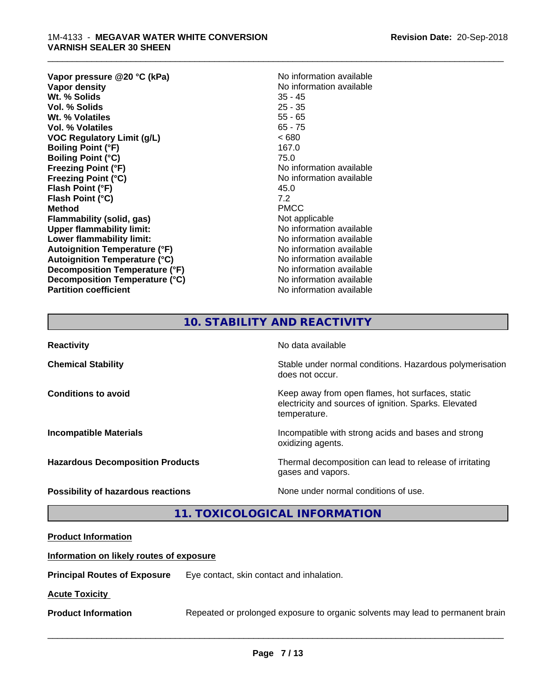**Vapor pressure @20 °C (kPa)**<br> **Vapor density**<br> **Vapor density**<br> **Vapor density Wt. % Solids** 35 - 45<br> **Vol. % Solids** 25 - 35 **Vol. % Solids Wt. % Volatiles** 55 - 65 **Vol. % Volatiles** 65 - 75 **VOC Regulatory Limit (g/L)** < 680 **Boiling Point (°F)** 167.0 **Boiling Point (°C)** 75.0 **Freezing Point (°F)** No information available **Freezing Point (°C)** No information available **Flash Point (°F)** 45.0 **Flash Point (°C)** 7.2<br> **Method** PMCC **Method** PMCC **Flammability (solid, gas)** Not applicable **Upper flammability limit:**<br> **Lower flammability limit:** No information available **Lower flammability limit: Autoignition Temperature (°F)** No information available **Autoignition Temperature (°C)**<br> **Decomposition Temperature (°F)** No information available **Decomposition Temperature (°F) Decomposition Temperature (°C)** No information available **Partition coefficient Contract Community No information available** 

**No information available**<br>35 - 45

\_\_\_\_\_\_\_\_\_\_\_\_\_\_\_\_\_\_\_\_\_\_\_\_\_\_\_\_\_\_\_\_\_\_\_\_\_\_\_\_\_\_\_\_\_\_\_\_\_\_\_\_\_\_\_\_\_\_\_\_\_\_\_\_\_\_\_\_\_\_\_\_\_\_\_\_\_\_\_\_\_\_\_\_\_\_\_\_\_\_\_\_\_

## **10. STABILITY AND REACTIVITY**

| <b>Reactivity</b>                       | No data available                                                                                                         |
|-----------------------------------------|---------------------------------------------------------------------------------------------------------------------------|
| <b>Chemical Stability</b>               | Stable under normal conditions. Hazardous polymerisation<br>does not occur.                                               |
| <b>Conditions to avoid</b>              | Keep away from open flames, hot surfaces, static<br>electricity and sources of ignition. Sparks. Elevated<br>temperature. |
| <b>Incompatible Materials</b>           | Incompatible with strong acids and bases and strong<br>oxidizing agents.                                                  |
| <b>Hazardous Decomposition Products</b> | Thermal decomposition can lead to release of irritating<br>gases and vapors.                                              |
| Possibility of hazardous reactions      | None under normal conditions of use.                                                                                      |

## **11. TOXICOLOGICAL INFORMATION**

## **Product Information**

## **Information on likely routes of exposure**

**Principal Routes of Exposure** Eye contact, skin contact and inhalation.

## **Acute Toxicity**

**Product Information** Repeated or prolonged exposure to organic solvents may lead to permanent brain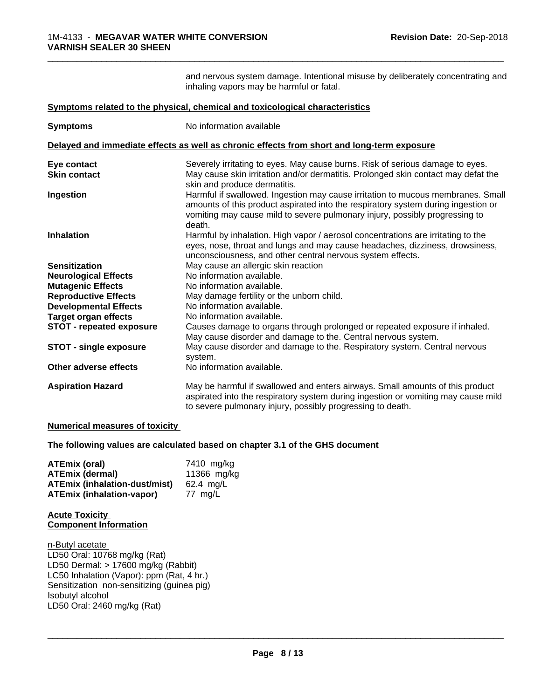and nervous system damage. Intentional misuse by deliberately concentrating and inhaling vapors may be harmful or fatal.

\_\_\_\_\_\_\_\_\_\_\_\_\_\_\_\_\_\_\_\_\_\_\_\_\_\_\_\_\_\_\_\_\_\_\_\_\_\_\_\_\_\_\_\_\_\_\_\_\_\_\_\_\_\_\_\_\_\_\_\_\_\_\_\_\_\_\_\_\_\_\_\_\_\_\_\_\_\_\_\_\_\_\_\_\_\_\_\_\_\_\_\_\_

|                                 | Symptoms related to the physical, chemical and toxicological characteristics                                                                                                                                                                                  |
|---------------------------------|---------------------------------------------------------------------------------------------------------------------------------------------------------------------------------------------------------------------------------------------------------------|
| <b>Symptoms</b>                 | No information available                                                                                                                                                                                                                                      |
|                                 | Delayed and immediate effects as well as chronic effects from short and long-term exposure                                                                                                                                                                    |
| Eye contact                     | Severely irritating to eyes. May cause burns. Risk of serious damage to eyes.                                                                                                                                                                                 |
| <b>Skin contact</b>             | May cause skin irritation and/or dermatitis. Prolonged skin contact may defat the<br>skin and produce dermatitis.                                                                                                                                             |
| Ingestion                       | Harmful if swallowed. Ingestion may cause irritation to mucous membranes. Small<br>amounts of this product aspirated into the respiratory system during ingestion or<br>vomiting may cause mild to severe pulmonary injury, possibly progressing to<br>death. |
| <b>Inhalation</b>               | Harmful by inhalation. High vapor / aerosol concentrations are irritating to the<br>eyes, nose, throat and lungs and may cause headaches, dizziness, drowsiness,<br>unconsciousness, and other central nervous system effects.                                |
| <b>Sensitization</b>            | May cause an allergic skin reaction                                                                                                                                                                                                                           |
| <b>Neurological Effects</b>     | No information available.                                                                                                                                                                                                                                     |
| <b>Mutagenic Effects</b>        | No information available.                                                                                                                                                                                                                                     |
| <b>Reproductive Effects</b>     | May damage fertility or the unborn child.                                                                                                                                                                                                                     |
| <b>Developmental Effects</b>    | No information available.                                                                                                                                                                                                                                     |
| <b>Target organ effects</b>     | No information available.                                                                                                                                                                                                                                     |
| <b>STOT - repeated exposure</b> | Causes damage to organs through prolonged or repeated exposure if inhaled.<br>May cause disorder and damage to the. Central nervous system.                                                                                                                   |
| <b>STOT - single exposure</b>   | May cause disorder and damage to the. Respiratory system. Central nervous<br>system.                                                                                                                                                                          |
| Other adverse effects           | No information available.                                                                                                                                                                                                                                     |
| <b>Aspiration Hazard</b>        | May be harmful if swallowed and enters airways. Small amounts of this product<br>aspirated into the respiratory system during ingestion or vomiting may cause mild<br>to severe pulmonary injury, possibly progressing to death.                              |

## **Numerical measures of toxicity**

**The following values are calculated based on chapter 3.1 of the GHS document**

| <b>ATEmix (oral)</b>                 | 7410 mg/kg  |
|--------------------------------------|-------------|
| <b>ATEmix (dermal)</b>               | 11366 mg/kg |
| <b>ATEmix (inhalation-dust/mist)</b> | 62.4 ma/L   |
| <b>ATEmix (inhalation-vapor)</b>     | 77 ma/L     |

## **Acute Toxicity Component Information**

n-Butyl acetate LD50 Oral: 10768 mg/kg (Rat) LD50 Dermal: > 17600 mg/kg (Rabbit) LC50 Inhalation (Vapor): ppm (Rat, 4 hr.) Sensitization non-sensitizing (guinea pig)<br>Isobutyl alcohol Isobutyl alcohol \_\_\_\_\_\_\_\_\_\_\_\_\_\_\_\_\_\_\_\_\_\_\_\_\_\_\_\_\_\_\_\_\_\_\_\_\_\_\_\_\_\_\_\_\_\_\_\_\_\_\_\_\_\_\_\_\_\_\_\_\_\_\_\_\_\_\_\_\_\_\_\_\_\_\_\_\_\_\_\_\_\_\_\_\_\_\_\_\_\_\_\_\_ LD50 Oral: 2460 mg/kg (Rat)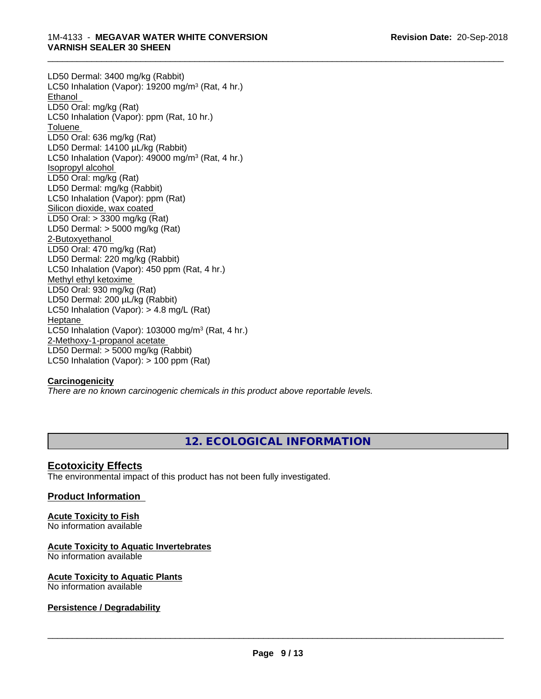LD50 Dermal: 3400 mg/kg (Rabbit) LC50 Inhalation (Vapor): 19200 mg/m<sup>3</sup> (Rat, 4 hr.) Ethanol LD50 Oral: mg/kg (Rat) LC50 Inhalation (Vapor): ppm (Rat, 10 hr.) Toluene LD50 Oral: 636 mg/kg (Rat) LD50 Dermal: 14100 µL/kg (Rabbit) LC50 Inhalation (Vapor): 49000 mg/m<sup>3</sup> (Rat, 4 hr.) Isopropyl alcohol LD50 Oral: mg/kg (Rat) LD50 Dermal: mg/kg (Rabbit) LC50 Inhalation (Vapor): ppm (Rat) Silicon dioxide, wax coated LD50 Oral: > 3300 mg/kg (Rat) LD50 Dermal: > 5000 mg/kg (Rat) 2-Butoxyethanol LD50 Oral: 470 mg/kg (Rat) LD50 Dermal: 220 mg/kg (Rabbit) LC50 Inhalation (Vapor): 450 ppm (Rat, 4 hr.) Methyl ethyl ketoxime LD50 Oral: 930 mg/kg (Rat) LD50 Dermal: 200 µL/kg (Rabbit) LC50 Inhalation (Vapor): > 4.8 mg/L (Rat) Heptane LC50 Inhalation (Vapor): 103000 mg/m<sup>3</sup> (Rat, 4 hr.) 2-Methoxy-1-propanol acetate LD50 Dermal: > 5000 mg/kg (Rabbit) LC50 Inhalation (Vapor): > 100 ppm (Rat)

## **Carcinogenicity**

*There are no known carcinogenic chemicals in this product above reportable levels.*

## **12. ECOLOGICAL INFORMATION**

\_\_\_\_\_\_\_\_\_\_\_\_\_\_\_\_\_\_\_\_\_\_\_\_\_\_\_\_\_\_\_\_\_\_\_\_\_\_\_\_\_\_\_\_\_\_\_\_\_\_\_\_\_\_\_\_\_\_\_\_\_\_\_\_\_\_\_\_\_\_\_\_\_\_\_\_\_\_\_\_\_\_\_\_\_\_\_\_\_\_\_\_\_

## **Ecotoxicity Effects**

The environmental impact of this product has not been fully investigated.

## **Product Information**

#### **Acute Toxicity to Fish** No information available

## **Acute Toxicity to Aquatic Invertebrates**

No information available

#### **Acute Toxicity to Aquatic Plants** No information available

## **Persistence / Degradability**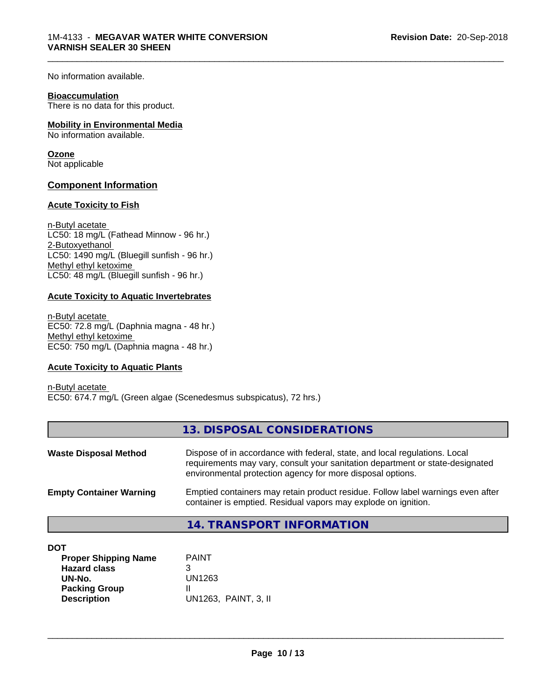No information available.

#### **Bioaccumulation**

There is no data for this product.

## **Mobility in Environmental Media**

No information available.

## **Ozone**

Not applicable

## **Component Information**

## **Acute Toxicity to Fish**

n-Butyl acetate LC50: 18 mg/L (Fathead Minnow - 96 hr.) 2-Butoxyethanol LC50: 1490 mg/L (Bluegill sunfish - 96 hr.) Methyl ethyl ketoxime LC50: 48 mg/L (Bluegill sunfish - 96 hr.)

## **Acute Toxicity to Aquatic Invertebrates**

n-Butyl acetate EC50: 72.8 mg/L (Daphnia magna - 48 hr.) Methyl ethyl ketoxime EC50: 750 mg/L (Daphnia magna - 48 hr.)

## **Acute Toxicity to Aquatic Plants**

n-Butyl acetate EC50: 674.7 mg/L (Green algae (Scenedesmus subspicatus), 72 hrs.)

## **13. DISPOSAL CONSIDERATIONS**

\_\_\_\_\_\_\_\_\_\_\_\_\_\_\_\_\_\_\_\_\_\_\_\_\_\_\_\_\_\_\_\_\_\_\_\_\_\_\_\_\_\_\_\_\_\_\_\_\_\_\_\_\_\_\_\_\_\_\_\_\_\_\_\_\_\_\_\_\_\_\_\_\_\_\_\_\_\_\_\_\_\_\_\_\_\_\_\_\_\_\_\_\_

| <b>Waste Disposal Method</b>   | Dispose of in accordance with federal, state, and local regulations. Local<br>requirements may vary, consult your sanitation department or state-designated<br>environmental protection agency for more disposal options. |  |
|--------------------------------|---------------------------------------------------------------------------------------------------------------------------------------------------------------------------------------------------------------------------|--|
| <b>Empty Container Warning</b> | Emptied containers may retain product residue. Follow label warnings even after<br>container is emptied. Residual vapors may explode on ignition.                                                                         |  |
|                                | 11 TO ANCOODT INITODIAATIONI                                                                                                                                                                                              |  |

## **14. TRANSPORT INFORMATION**

| ×<br>۰.<br>I<br>۰. |
|--------------------|
|--------------------|

| DOT                         |                      |  |
|-----------------------------|----------------------|--|
| <b>Proper Shipping Name</b> | <b>PAINT</b>         |  |
| <b>Hazard class</b>         | 3                    |  |
| UN-No.                      | UN1263               |  |
| <b>Packing Group</b>        |                      |  |
| <b>Description</b>          | UN1263. PAINT, 3. II |  |
|                             |                      |  |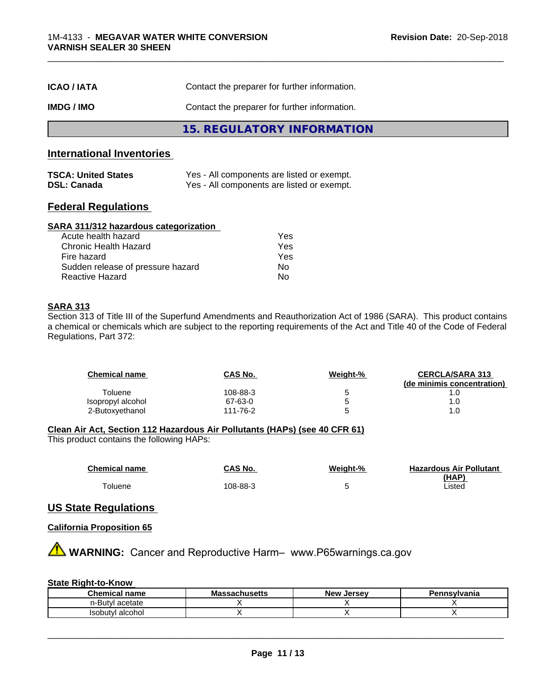| <b>ICAO/IATA</b> | Contact the preparer for further information. |  |
|------------------|-----------------------------------------------|--|
| IMDG / IMO       | Contact the preparer for further information. |  |
|                  | 15. REGULATORY INFORMATION                    |  |

## **International Inventories**

| <b>TSCA: United States</b> | Yes - All components are listed or exempt. |
|----------------------------|--------------------------------------------|
| <b>DSL: Canada</b>         | Yes - All components are listed or exempt. |

## **Federal Regulations**

#### **SARA 311/312 hazardous categorization**

| Acute health hazard               | Yes |
|-----------------------------------|-----|
| Chronic Health Hazard             | Yes |
| Fire hazard                       | Yes |
| Sudden release of pressure hazard | N٥  |
| Reactive Hazard                   | N٥  |

## **SARA 313**

Section 313 of Title III of the Superfund Amendments and Reauthorization Act of 1986 (SARA). This product contains a chemical or chemicals which are subject to the reporting requirements of the Act and Title 40 of the Code of Federal Regulations, Part 372:

| <b>Chemical name</b> | <b>CAS No.</b> | Weight-% | <b>CERCLA/SARA 313</b><br>(de minimis concentration) |
|----------------------|----------------|----------|------------------------------------------------------|
| Toluene              | 108-88-3       |          |                                                      |
| Isopropyl alcohol    | 67-63-0        |          | 1.0                                                  |
| 2-Butoxvethanol      | 111-76-2       |          | .0                                                   |

\_\_\_\_\_\_\_\_\_\_\_\_\_\_\_\_\_\_\_\_\_\_\_\_\_\_\_\_\_\_\_\_\_\_\_\_\_\_\_\_\_\_\_\_\_\_\_\_\_\_\_\_\_\_\_\_\_\_\_\_\_\_\_\_\_\_\_\_\_\_\_\_\_\_\_\_\_\_\_\_\_\_\_\_\_\_\_\_\_\_\_\_\_

## **Clean Air Act,Section 112 Hazardous Air Pollutants (HAPs) (see 40 CFR 61)**

This product contains the following HAPs:

| <b>Chemical name</b> | <b>CAS No.</b> | Weight-% | <b>Hazardous Air Pollutant</b> |
|----------------------|----------------|----------|--------------------------------|
|                      |                |          | (HAP)                          |
| <sup>-</sup> oluene  | 108-88-3       |          | Listed                         |

## **US State Regulations**

## **California Proposition 65**

**AVIMARNING:** Cancer and Reproductive Harm– www.P65warnings.ca.gov

## **State Right-to-Know**

| Chemical<br>name            | IVIa<br>aunuscus | <b>Jersey</b><br><b>Nev</b> | 10 M<br>anıa |
|-----------------------------|------------------|-----------------------------|--------------|
| า-เรเมา<br>771<br>σιαιτ     |                  |                             |              |
| alcohol<br>Isobu<br>∵ıtvı ∶ |                  |                             |              |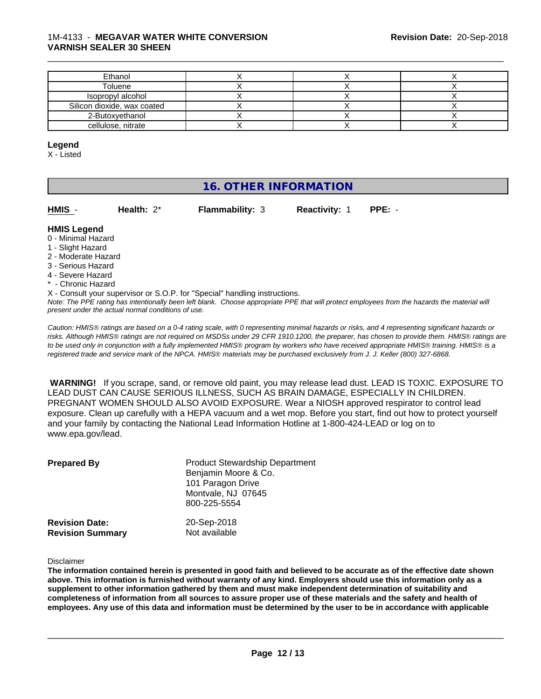| Ethanol                     |  |  |
|-----------------------------|--|--|
| Toluene                     |  |  |
| Isopropyl alcohol           |  |  |
| Silicon dioxide, wax coated |  |  |
| 2-Butoxyethanol             |  |  |
| cellulose, nitrate          |  |  |

\_\_\_\_\_\_\_\_\_\_\_\_\_\_\_\_\_\_\_\_\_\_\_\_\_\_\_\_\_\_\_\_\_\_\_\_\_\_\_\_\_\_\_\_\_\_\_\_\_\_\_\_\_\_\_\_\_\_\_\_\_\_\_\_\_\_\_\_\_\_\_\_\_\_\_\_\_\_\_\_\_\_\_\_\_\_\_\_\_\_\_\_\_

#### **Legend**

X - Listed

## **16. OTHER INFORMATION**

| HMIS | Health: $2^*$ | <b>Flammability: 3</b> | <b>Reactivity: 1</b> | $PPE: -$ |
|------|---------------|------------------------|----------------------|----------|
|      |               |                        |                      |          |

## **HMIS Legend**

- 0 Minimal Hazard
- 1 Slight Hazard
- 2 Moderate Hazard
- 3 Serious Hazard
- 4 Severe Hazard
- \* Chronic Hazard
- X Consult your supervisor or S.O.P. for "Special" handling instructions.

*Note: The PPE rating has intentionally been left blank. Choose appropriate PPE that will protect employees from the hazards the material will present under the actual normal conditions of use.*

*Caution: HMISÒ ratings are based on a 0-4 rating scale, with 0 representing minimal hazards or risks, and 4 representing significant hazards or risks. Although HMISÒ ratings are not required on MSDSs under 29 CFR 1910.1200, the preparer, has chosen to provide them. HMISÒ ratings are to be used only in conjunction with a fully implemented HMISÒ program by workers who have received appropriate HMISÒ training. HMISÒ is a registered trade and service mark of the NPCA. HMISÒ materials may be purchased exclusively from J. J. Keller (800) 327-6868.*

 **WARNING!** If you scrape, sand, or remove old paint, you may release lead dust. LEAD IS TOXIC. EXPOSURE TO LEAD DUST CAN CAUSE SERIOUS ILLNESS, SUCH AS BRAIN DAMAGE, ESPECIALLY IN CHILDREN. PREGNANT WOMEN SHOULD ALSO AVOID EXPOSURE.Wear a NIOSH approved respirator to control lead exposure. Clean up carefully with a HEPA vacuum and a wet mop. Before you start, find out how to protect yourself and your family by contacting the National Lead Information Hotline at 1-800-424-LEAD or log on to www.epa.gov/lead.

| <b>Prepared By</b>      | <b>Product Stewardship Department</b><br>Benjamin Moore & Co.<br>101 Paragon Drive<br>Montvale, NJ 07645<br>800-225-5554 |
|-------------------------|--------------------------------------------------------------------------------------------------------------------------|
| <b>Revision Date:</b>   | 20-Sep-2018                                                                                                              |
| <b>Revision Summary</b> | Not available                                                                                                            |

#### Disclaimer

The information contained herein is presented in good faith and believed to be accurate as of the effective date shown above. This information is furnished without warranty of any kind. Employers should use this information only as a **supplement to other information gathered by them and must make independent determination of suitability and** completeness of information from all sources to assure proper use of these materials and the safety and health of employees. Any use of this data and information must be determined by the user to be in accordance with applicable